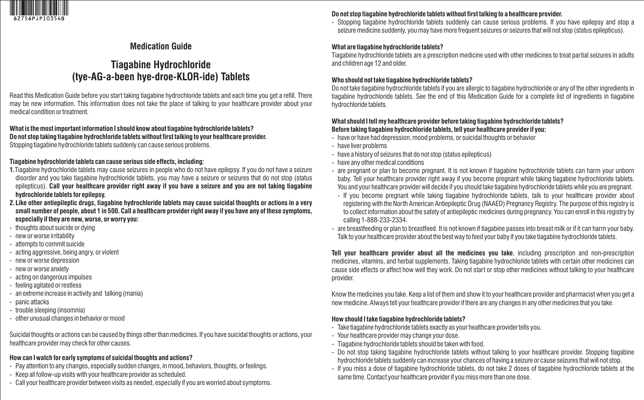

# **Medication Guide**

# **Tiagabine Hydrochloride (tye-AG-a-been hye-droe-KLOR-ide) Tablets**

Read this Medication Guide before you start taking tiagabine hydrochloride tablets and each time you get a refill. There may be new information. This information does not take the place of talking to your healthcare provider about your medical condition or treatment.

#### **What is the most important information I should know about tiagabine hydrochloride tablets? Do not stop taking tiagabine hydrochloride tabletswithout first talking to your healthcare provider.**  Stopping tiagabine hydrochloride tablets suddenly can cause serious problems.

### **Tiagabine hydrochloride tablets can cause serious side effects, including:**

- **1.**Tiagabine hydrochloride tablets may cause seizures in people who do not have epilepsy. If you do not have a seizure disorder and you take tiagabine hydrochloride tablets, you may have a seizure or seizures that do not stop (status epilepticus). **Call your healthcare provider right away if you have a seizure and you are not taking tiagabine hydrochloride tablets for epilepsy.**
- **2. Like other antiepileptic drugs, tiagabine hydrochloride tablets may cause suicidal thoughts or actions in a very small number of people, about 1 in 500. Call a healthcare provider right away if you have any of these symptoms, especially if they are new, worse, or worry you:**
- thoughts about suicide or dying
- new or worse irritability
- attempts to commit suicide
- acting aggressive, being angry, or violent
- new or worse depression
- new or worse anxiety
- acting on dangerous impulses
- feeling agitated or restless
- an extreme increase in activity and talking (mania)
- panic attacks
- trouble sleeping (insomnia)
- other unusual changes in behavior or mood

Suicidal thoughts or actions can be caused by things other than medicines. If you have suicidal thoughts or actions, your healthcare provider may check for other causes.

### **How can I watch for early symptoms of suicidal thoughts and actions?**

- Pay attention to any changes, especially sudden changes, in mood, behaviors, thoughts, or feelings.
- Keep all follow-up visits with your healthcare provider as scheduled.
- Call your healthcare provider between visits as needed, especially if you are worried about symptoms.

### Do not stop tiagabine hydrochloride tablets without first talking to a healthcare provider.

- Stopping tiagabine hydrochloride tablets suddenly can cause serious problems. If you have epilepsy and stop a seizure medicine suddenly, you may have more frequent seizures or seizures that will not stop (status epilepticus).

### **What are tiagabine hydrochloride tablets?**

Tiagabine hydrochloride tablets are a prescription medicine used with other medicines to treat partial seizures in adults and children age 12 and older.

### **Who should not take tiagabine hydrochloride tablets?**

Do not take tiagabine hydrochloride tablets if you are allergic to tiagabine hydrochloride or any of the other ingredients in tiagabine hydrochloride tablets. See the end of this Medication Guide for a complete list of ingredients in tiagabine hydrochloride tablets.

### **What should I tell my healthcare provider before taking tiagabine hydrochloride tablets? Before taking tiagabine hydrochloride tablets, tell your healthcare provider if you:**

- have or have had depression, mood problems, or suicidal thoughts or behavior
- have liver problems
- have a history of seizures that do not stop (status epilepticus)
- have any other medical conditions
- are pregnant or plan to become pregnant. It is not known if tiagabine hydrochloride tablets can harm your unborn baby. Tell your healthcare provider right away if you become pregnant while taking tiagabine hydrochloride tablets. You and your healthcare provider will decide if you should take tiagabine hydrochloride tablets while you are pregnant.
- If you become pregnant while taking tiagabine hydrochloride tablets, talk to your healthcare provider about registering with the North American Antiepileptic Drug (NAAED) Pregnancy Registry. The purpose of this registry is to collect information about the safety of antiepileptic medicines during pregnancy. You can enroll in this registry by calling 1-888-233-2334.
- are breastfeeding or plan to breastfeed. It is not known if tiagabine passes into breast milk or if it can harm your baby. Talk to your healthcare provider about the best way to feed your baby if you take tiagabine hydrochloride tablets.

**Tell your healthcare provider about all the medicines you take**, including prescription and non-prescription medicines, vitamins, and herbal supplements. Taking tiagabine hydrochloride tablets with certain other medicines can cause side effects or affect how well they work. Do not start or stop other medicines without talking to your healthcare provider.

Know the medicines you take. Keep a list of them and show it to your healthcare provider and pharmacist when you get a new medicine. Always tell your healthcare provider if there are any changes in any other medicines that you take.

### **How should I take tiagabine hydrochloride tablets?**

- Take tiagabine hydrochloride tablets exactly as your healthcare provider tells you.
- Your healthcare provider may change your dose.
- Tiagabine hydrochloride tablets should be taken with food.
- Do not stop taking tiagabine hydrochloride tablets without talking to your healthcare provider. Stopping tiagabine hydrochloride tablets suddenly can increase your chances of having a seizure or cause seizures that will not stop.
- If you miss a dose of tiagabine hydrochloride tablets, do not take 2 doses of tiagabine hydrochloride tablets at the same time. Contact your healthcare provider if you miss more than one dose.